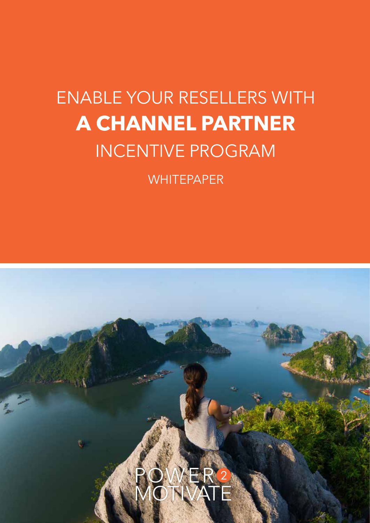# ENABLE YOUR RESELLERS WITH **A CHANNEL PARTNER** INCENTIVE PROGRAM

**WHITEPAPER** 

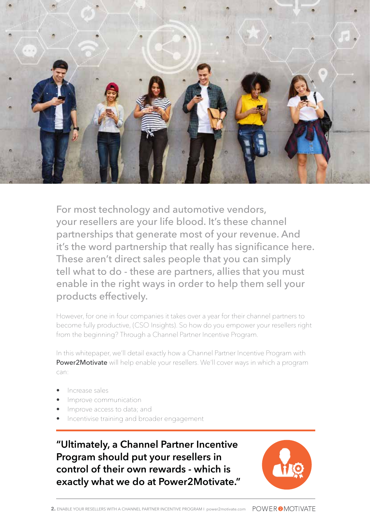

For most technology and automotive vendors, your resellers are your life blood. It's these channel partnerships that generate most of your revenue. And it's the word partnership that really has significance here. These aren't direct sales people that you can simply tell what to do - these are partners, allies that you must enable in the right ways in order to help them sell your products effectively.

However, for one in four companies it takes over a year for their channel partners to become fully productive, (CSO Insights). So how do you empower your resellers right from the beginning? Through a Channel Partner Incentive Program.

In this whitepaper, we'll detail exactly how a Channel Partner Incentive Program with Power2Motivate will help enable your resellers. We'll cover ways in which a program can:

- Increase sales
- Improve communication
- Improve access to data; and
- Incentivise training and broader engagement

**"Ultimately, a Channel Partner Incentive Program should put your resellers in control of their own rewards - which is exactly what we do at Power2Motivate."**

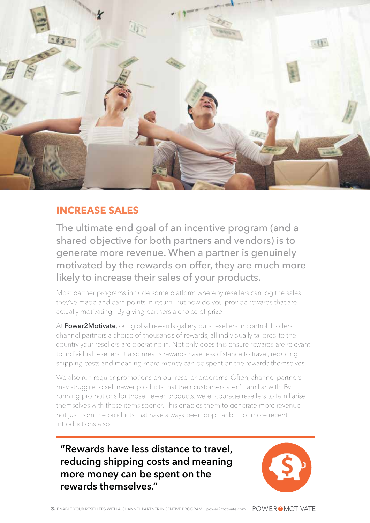

#### **INCREASE SALES**

The ultimate end goal of an incentive program (and a shared objective for both partners and vendors) is to generate more revenue. When a partner is genuinely motivated by the rewards on offer, they are much more likely to increase their sales of your products.

Most partner programs include some platform whereby resellers can log the sales they've made and earn points in return. But how do you provide rewards that are actually motivating? By giving partners a choice of prize.

At Power2Motivate, our global rewards gallery puts resellers in control. It offers channel partners a choice of thousands of rewards, all individually tailored to the country your resellers are operating in. Not only does this ensure rewards are relevant to individual resellers, it also means rewards have less distance to travel, reducing shipping costs and meaning more money can be spent on the rewards themselves.

We also run regular promotions on our reseller programs. Often, channel partners may struggle to sell newer products that their customers aren't familiar with. By running promotions for those newer products, we encourage resellers to familiarise themselves with these items sooner. This enables them to generate more revenue not just from the products that have always been popular but for more recent introductions also.

**"Rewards have less distance to travel, reducing shipping costs and meaning more money can be spent on the rewards themselves."**

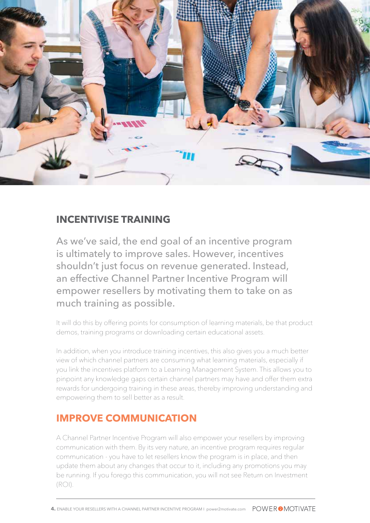

#### **INCENTIVISE TRAINING**

As we've said, the end goal of an incentive program is ultimately to improve sales. However, incentives shouldn't just focus on revenue generated. Instead, an effective Channel Partner Incentive Program will empower resellers by motivating them to take on as much training as possible.

It will do this by offering points for consumption of learning materials, be that product demos, training programs or downloading certain educational assets.

In addition, when you introduce training incentives, this also gives you a much better view of which channel partners are consuming what learning materials, especially if you link the incentives platform to a Learning Management System. This allows you to pinpoint any knowledge gaps certain channel partners may have and offer them extra rewards for undergoing training in these areas, thereby improving understanding and empowering them to sell better as a result.

## **IMPROVE COMMUNICATION**

A Channel Partner Incentive Program will also empower your resellers by improving communication with them. By its very nature, an incentive program requires regular communication - you have to let resellers know the program is in place, and then update them about any changes that occur to it, including any promotions you may be running. If you forego this communication, you will not see Return on Investment (ROI).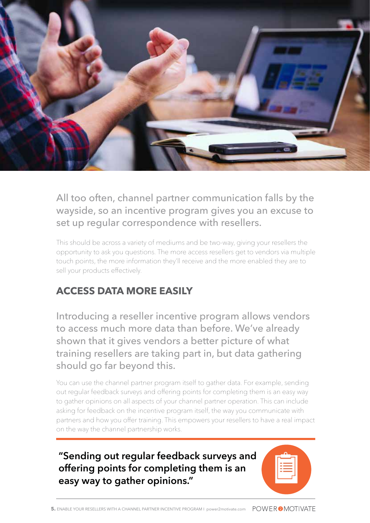

All too often, channel partner communication falls by the wayside, so an incentive program gives you an excuse to set up regular correspondence with resellers.

This should be across a variety of mediums and be two-way, giving your resellers the opportunity to ask you questions. The more access resellers get to vendors via multiple touch points, the more information they'll receive and the more enabled they are to sell your products effectively.

# **ACCESS DATA MORE EASILY**

Introducing a reseller incentive program allows vendors to access much more data than before. We've already shown that it gives vendors a better picture of what training resellers are taking part in, but data gathering should go far beyond this.

You can use the channel partner program itself to gather data. For example, sending out regular feedback surveys and offering points for completing them is an easy way to gather opinions on all aspects of your channel partner operation. This can include asking for feedback on the incentive program itself, the way you communicate with partners and how you offer training. This empowers your resellers to have a real impact on the way the channel partnership works.

**"Sending out regular feedback surveys and offering points for completing them is an easy way to gather opinions."**